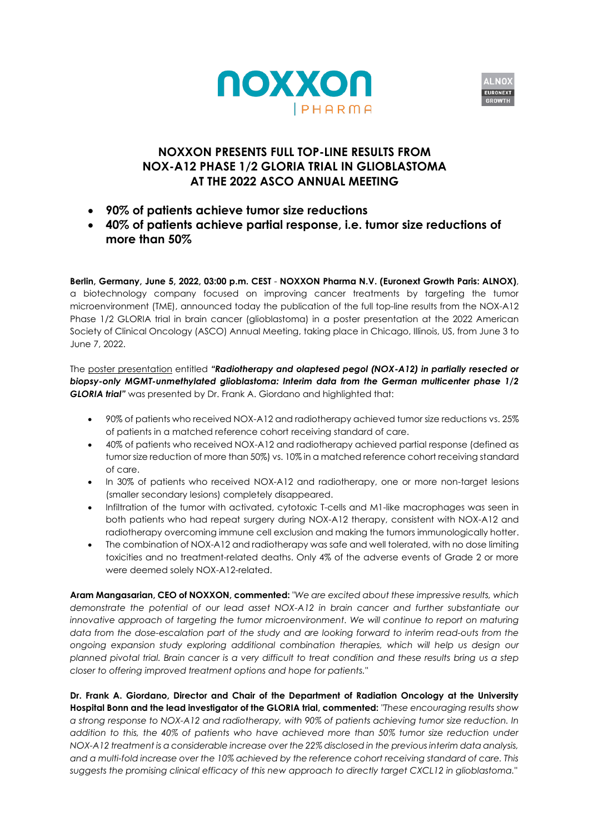



# **NOXXON PRESENTS FULL TOP-LINE RESULTS FROM NOX-A12 PHASE 1/2 GLORIA TRIAL IN GLIOBLASTOMA AT THE 2022 ASCO ANNUAL MEETING**

- **90% of patients achieve tumor size reductions**
- **40% of patients achieve partial response, i.e. tumor size reductions of more than 50%**

**Berlin, Germany, June 5, 2022, 03:00 p.m. CEST** - **NOXXON Pharma N.V. (Euronext Growth Paris: ALNOX)**, a biotechnology company focused on improving cancer treatments by targeting the tumor microenvironment (TME), announced today the publication of the full top-line results from the NOX-A12 Phase 1/2 GLORIA trial in brain cancer (glioblastoma) in a poster presentation at the 2022 American Society of Clinical Oncology (ASCO) Annual Meeting, taking place in Chicago, Illinois, US, from June 3 to June 7, 2022.

The poster [presentation](https://www.noxxon.com/downloads/poster/2022-06-05_ASCO_Poster_GLORIA.pdf) entitled *"Radiotherapy and olaptesed pegol (NOX-A12) in partially resected or biopsy-only MGMT-unmethylated glioblastoma: Interim data from the German multicenter phase 1/2 GLORIA trial"* was presented by Dr. Frank A. Giordano and highlighted that:

- 90% of patients who received NOX-A12 and radiotherapy achieved tumor size reductions vs. 25% of patients in a matched reference cohort receiving standard of care.
- 40% of patients who received NOX-A12 and radiotherapy achieved partial response (defined as tumor size reduction of more than 50%) vs. 10% in a matched reference cohort receiving standard of care.
- In 30% of patients who received NOX-A12 and radiotherapy, one or more non-target lesions (smaller secondary lesions) completely disappeared.
- Infiltration of the tumor with activated, cytotoxic T-cells and M1-like macrophages was seen in both patients who had repeat surgery during NOX-A12 therapy, consistent with NOX-A12 and radiotherapy overcoming immune cell exclusion and making the tumors immunologically hotter.
- The combination of NOX-A12 and radiotherapy was safe and well tolerated, with no dose limiting toxicities and no treatment-related deaths. Only 4% of the adverse events of Grade 2 or more were deemed solely NOX-A12-related.

**Aram Mangasarian, CEO of NOXXON, commented:** *"We are excited about these impressive results, which demonstrate the potential of our lead asset NOX-A12 in brain cancer and further substantiate our innovative approach of targeting the tumor microenvironment. We will continue to report on maturing data from the dose-escalation part of the study and are looking forward to interim read-outs from the ongoing expansion study exploring additional combination therapies, which will help us design our planned pivotal trial. Brain cancer is a very difficult to treat condition and these results bring us a step closer to offering improved treatment options and hope for patients."*

**Dr. Frank A. Giordano, Director and Chair of the Department of Radiation Oncology at the University Hospital Bonn and the lead investigator of the GLORIA trial, commented:** *"These encouraging results show a strong response to NOX-A12 and radiotherapy, with 90% of patients achieving tumor size reduction. In addition to this, the 40% of patients who have achieved more than 50% tumor size reduction under NOX-A12 treatment is a considerable increase over the 22% disclosed in the previous interim data analysis, and a multi-fold increase over the 10% achieved by the reference cohort receiving standard of care. This suggests the promising clinical efficacy of this new approach to directly target CXCL12 in glioblastoma."*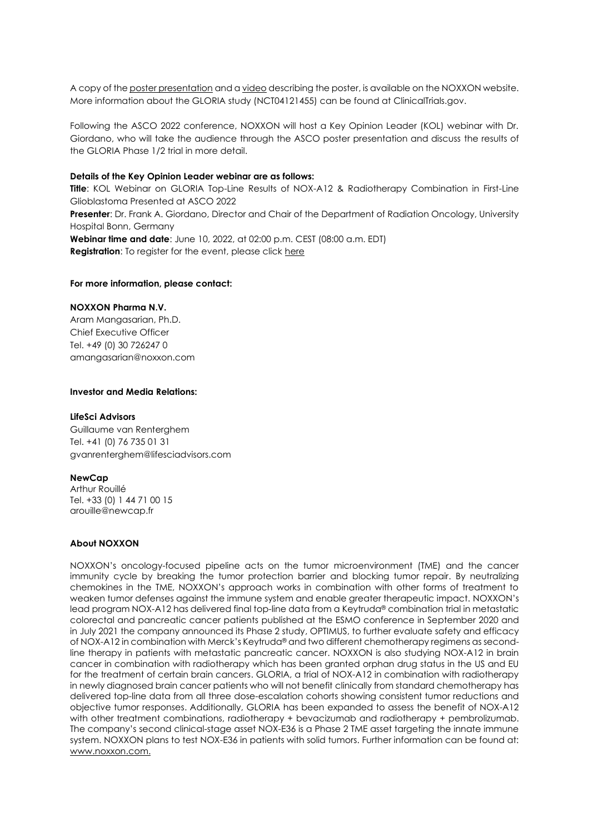A copy of th[e poster presentation](https://www.noxxon.com/downloads/poster/2022-06-05_ASCO_Poster_GLORIA.pdf) and a [video](https://www.noxxon.com/index.php?option=com_content&view=article&id=74&Itemid=1051) describing the poster, is available on the NOXXON website. More information about the GLORIA study (NCT04121455) can be found at ClinicalTrials.gov.

Following the ASCO 2022 conference, NOXXON will host a Key Opinion Leader (KOL) webinar with Dr. Giordano, who will take the audience through the ASCO poster presentation and discuss the results of the GLORIA Phase 1/2 trial in more detail.

## **Details of the Key Opinion Leader webinar are as follows:**

**Title**: KOL Webinar on GLORIA Top-Line Results of NOX-A12 & Radiotherapy Combination in First-Line Glioblastoma Presented at ASCO 2022 **Presenter**: Dr. Frank A. Giordano, Director and Chair of the Department of Radiation Oncology, University Hospital Bonn, Germany **Webinar time and date**: June 10, 2022, at 02:00 p.m. CEST (08:00 a.m. EDT) **Registration:** To register for the event, please clic[k here](https://register.gotowebinar.com/register/8777715108352711437)

#### **For more information, please contact:**

## **NOXXON Pharma N.V.**

Aram Mangasarian, Ph.D. Chief Executive Officer Tel. +49 (0) 30 726247 0 amangasarian@noxxon.com

## **Investor and Media Relations:**

### **LifeSci Advisors**

Guillaume van Renterghem Tel. +41 (0) 76 735 01 31 [gvanrenterghem@lifesciadvisors.com](mailto:gvanrenterghem@lifesciadvisors.com)

#### **NewCap**

Arthur Rouillé Tel. +33 (0) 1 44 71 00 15 arouille@newcap.fr

## **About NOXXON**

NOXXON's oncology-focused pipeline acts on the tumor microenvironment (TME) and the cancer immunity cycle by breaking the tumor protection barrier and blocking tumor repair. By neutralizing chemokines in the TME, NOXXON's approach works in combination with other forms of treatment to weaken tumor defenses against the immune system and enable greater therapeutic impact. NOXXON's lead program NOX-A12 has delivered final top-line data from a Keytruda® combination trial in metastatic colorectal and pancreatic cancer patients published at the ESMO conference in September 2020 and in July 2021 the company announced its Phase 2 study, OPTIMUS, to further evaluate safety and efficacy of NOX-A12 in combination with Merck's Keytruda<sup>®</sup> and two different chemotherapy regimens as secondline therapy in patients with metastatic pancreatic cancer. NOXXON is also studying NOX-A12 in brain cancer in combination with radiotherapy which has been granted orphan drug status in the US and EU for the treatment of certain brain cancers. GLORIA, a trial of NOX-A12 in combination with radiotherapy in newly diagnosed brain cancer patients who will not benefit clinically from standard chemotherapy has delivered top-line data from all three dose-escalation cohorts showing consistent tumor reductions and objective tumor responses. Additionally, GLORIA has been expanded to assess the benefit of NOX-A12 with other treatment combinations, radiotherapy + bevacizumab and radiotherapy + pembrolizumab. The company's second clinical-stage asset NOX-E36 is a Phase 2 TME asset targeting the innate immune system. NOXXON plans to test NOX-E36 in patients with solid tumors. Further information can be found at: [www.noxxon.com.](https://www.noxxon.com/)